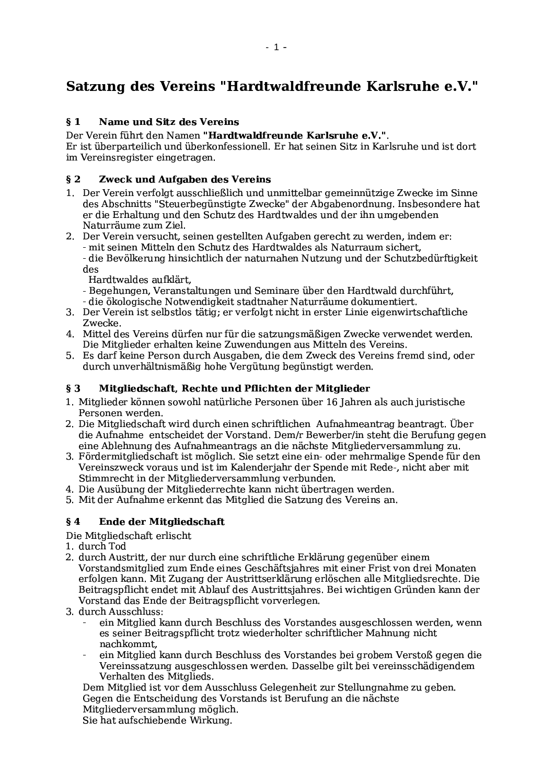# Satzung des Vereins "Hardtwaldfreunde Karlsruhe e.V."

### Name und Sitz des Vereins  $\delta$  1

Der Verein führt den Namen "Hardtwaldfreunde Karlsruhe e.V.".

Er ist überparteilich und überkonfessionell. Er hat seinen Sitz in Karlsruhe und ist dort im Vereinsregister eingetragen.

#### $\S$  2 Zweck und Aufgaben des Vereins

- 1. Der Verein verfolgt ausschließlich und unmittelbar gemeinnützige Zwecke im Sinne des Abschnitts "Steuerbegünstigte Zwecke" der Abgabenordnung. Insbesondere hat er die Erhaltung und den Schutz des Hardtwaldes und der ihn umgebenden Naturräume zum Ziel.
- 2. Der Verein versucht, seinen gestellten Aufgaben gerecht zu werden, indem er: - mit seinen Mitteln den Schutz des Hardtwaldes als Naturraum sichert,

- die Bevölkerung hinsichtlich der naturnahen Nutzung und der Schutzbedürftigkeit des

- Hardtwaldes aufklärt.
- Begehungen, Veranstaltungen und Seminare über den Hardtwald durchführt. - die ökologische Notwendigkeit stadtnaher Naturräume dokumentiert.
- 3. Der Verein ist selbstlos tätig: er verfolgt nicht in erster Linie eigenwirtschaftliche Zwecke.
- 4. Mittel des Vereins dürfen nur für die satzungsmäßigen Zwecke verwendet werden. Die Mitglieder erhalten keine Zuwendungen aus Mitteln des Vereins.
- 5. Es darf keine Person durch Ausgaben, die dem Zweck des Vereins fremd sind, oder durch unverhältnismäßig hohe Vergütung begünstigt werden.

### Mitgliedschaft, Rechte und Pflichten der Mitglieder  $\S$  3

- 1. Mitglieder können sowohl natürliche Personen über 16 Jahren als auch juristische Personen werden.
- 2. Die Mitgliedschaft wird durch einen schriftlichen Aufnahmeantrag beantragt. Über die Aufnahme entscheidet der Vorstand. Dem/r Bewerber/in steht die Berufung gegen eine Ablehnung des Aufnahmeantrags an die nächste Mitgliederversammlung zu.
- 3. Fördermitgliedschaft ist möglich. Sie setzt eine ein- oder mehrmalige Spende für den Vereinszweck voraus und ist im Kalenderjahr der Spende mit Rede-, nicht aber mit Stimmrecht in der Mitgliederversammlung verbunden.
- 4. Die Ausübung der Mitgliederrechte kann nicht übertragen werden.
- 5. Mit der Aufnahme erkennt das Mitglied die Satzung des Vereins an.

### $\delta$  4 **Ende der Mitgliedschaft**

# Die Mitgliedschaft erlischt

- 1 durch Tod
- 2. durch Austritt, der nur durch eine schriftliche Erklärung gegenüber einem Vorstandsmitglied zum Ende eines Geschäftsjahres mit einer Frist von drei Monaten erfolgen kann. Mit Zugang der Austrittserklärung erlöschen alle Mitgliedsrechte. Die Beitragspflicht endet mit Ablauf des Austrittsjahres. Bei wichtigen Gründen kann der Vorstand das Ende der Beitragspflicht vorverlegen.
- 3. durch Ausschluss:
	- ein Mitglied kann durch Beschluss des Vorstandes ausgeschlossen werden, wenn es seiner Beitragspflicht trotz wiederholter schriftlicher Mahnung nicht nachkommt,
	- ein Mitglied kann durch Beschluss des Vorstandes bei grobem Verstoß gegen die Vereinssatzung ausgeschlossen werden. Dasselbe gilt bei vereinsschädigendem Verhalten des Mitglieds.

Dem Mitglied ist vor dem Ausschluss Gelegenheit zur Stellungnahme zu geben. Gegen die Entscheidung des Vorstands ist Berufung an die nächste

Mitgliederversammlung möglich.

Sie hat aufschiebende Wirkung.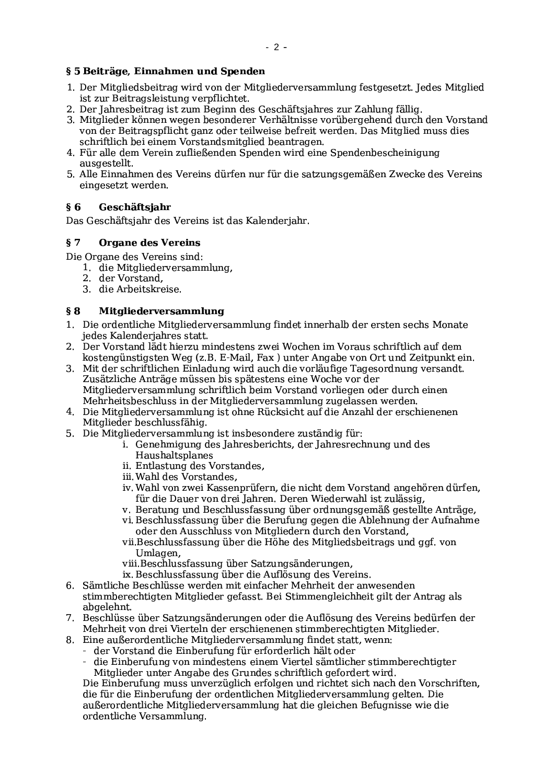## § 5 Beiträge, Einnahmen und Spenden

- 1. Der Mitgliedsbeitrag wird von der Mitgliederversammlung festgesetzt. Jedes Mitglied ist zur Beitragsleistung verpflichtet.
- 2. Der Jahresbeitrag ist zum Beginn des Geschäftsjahres zur Zahlung fällig.
- 3. Mitalieder können wegen besonderer Verhältnisse vorübergehend durch den Vorstand von der Beitragspflicht ganz oder teilweise befreit werden. Das Mitglied muss dies schriftlich bei einem Vorstandsmitglied beantragen.
- 4. Für alle dem Verein zufließenden Spenden wird eine Spendenbescheinigung ausgestellt.
- 5. Alle Einnahmen des Vereins dürfen nur für die satzungsgemäßen Zwecke des Vereins eingesetzt werden.

### $\delta$  6 Geschäftsjahr

Das Geschäftsjahr des Vereins ist das Kalenderjahr.

#### $87$ **Organe des Vereins**

### Die Organe des Vereins sind:

- 1. die Mitgliederversammlung,
- 2. der Vorstand,
- 3. die Arbeitskreise.

#### Mitgliederversammlung  $\S$  8

- 1. Die ordentliche Mitgliederversammlung findet innerhalb der ersten sechs Monate jedes Kalenderjahres statt.
- 2. Der Vorstand lädt hierzu mindestens zwei Wochen im Voraus schriftlich auf dem kostengünstigsten Weg (z.B. E-Mail, Fax) unter Angabe von Ort und Zeitpunkt ein.
- 3. Mit der schriftlichen Einladung wird auch die vorläufige Tagesordnung versandt. Zusätzliche Anträge müssen bis spätestens eine Woche vor der Mitgliederversammlung schriftlich beim Vorstand vorliegen oder durch einen Mehrheitsbeschluss in der Mitgliederversammlung zugelassen werden.
- 4. Die Mitgliederversammlung ist ohne Rücksicht auf die Anzahl der erschienenen Mitglieder beschlussfähig.
- 5. Die Mitgliederversammlung ist insbesondere zuständig für:
	- i. Genehmigung des Jahresberichts, der Jahresrechnung und des Haushaltsplanes
	- ii. Entlastung des Vorstandes,
	- iii. Wahl des Vorstandes,
	- iv. Wahl von zwei Kassenprüfern, die nicht dem Vorstand angehören dürfen, für die Dauer von drei Jahren. Deren Wiederwahl ist zulässig,
	- v. Beratung und Beschlussfassung über ordnungsgemäß gestellte Anträge,
	- vi. Beschlussfassung über die Berufung gegen die Ablehnung der Aufnahme oder den Ausschluss von Mitgliedern durch den Vorstand,
	- vii. Beschlussfassung über die Höhe des Mitgliedsbeitrags und ggf. von Umlagen,
	- viii. Beschlussfassung über Satzungsänderungen,
	- ix. Beschlussfassung über die Auflösung des Vereins.
- 6. Sämtliche Beschlüsse werden mit einfacher Mehrheit der anwesenden
- stimmberechtigten Mitglieder gefasst. Bei Stimmengleichheit gilt der Antrag als abgelehnt.
- 7. Beschlüsse über Satzungsänderungen oder die Auflösung des Vereins bedürfen der Mehrheit von drei Vierteln der erschienenen stimmberechtigten Mitglieder.
- 8. Eine außerordentliche Mitgliederversammlung findet statt, wenn:
	- der Vorstand die Einberufung für erforderlich hält oder
	- L. die Einberufung von mindestens einem Viertel sämtlicher stimmberechtigter Mitglieder unter Angabe des Grundes schriftlich gefordert wird.

Die Einberufung muss unverzüglich erfolgen und richtet sich nach den Vorschriften. die für die Einberufung der ordentlichen Mitgliederversammlung gelten. Die außerordentliche Mitgliederversammlung hat die gleichen Befugnisse wie die ordentliche Versammlung.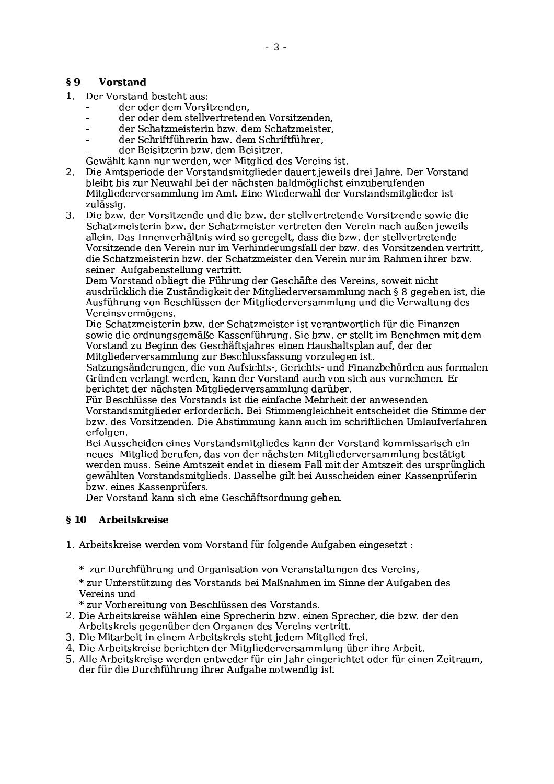#### $\S$  9 **Vorstand**

- 1. Der Vorstand besteht aus:
	- der oder dem Vorsitzenden.
	- der oder dem stellvertretenden Vorsitzenden,
	- der Schatzmeisterin bzw. dem Schatzmeister.
	- der Schriftführerin bzw. dem Schriftführer.
	- der Beisitzerin bzw. dem Beisitzer.
	- Gewählt kann nur werden, wer Mitglied des Vereins ist.
- Die Amtsperiode der Vorstandsmitglieder dauert jeweils drei Jahre. Der Vorstand  $2<sup>1</sup>$ bleibt bis zur Neuwahl bei der nächsten baldmöglichst einzuberufenden Mitgliederversammlung im Amt. Eine Wiederwahl der Vorstandsmitglieder ist zulässig.
- Die bzw. der Vorsitzende und die bzw. der stellvertretende Vorsitzende sowie die 3. Schatzmeisterin bzw. der Schatzmeister vertreten den Verein nach außen jeweils allein. Das Innenverhältnis wird so geregelt, dass die bzw. der stellvertretende Vorsitzende den Verein nur im Verhinderungsfall der bzw. des Vorsitzenden vertritt, die Schatzmeisterin bzw. der Schatzmeister den Verein nur im Rahmen ihrer bzw. seiner Aufgabenstellung vertritt.

Dem Vorstand obliegt die Führung der Geschäfte des Vereins, soweit nicht ausdrücklich die Zuständigkeit der Mitgliederversammlung nach § 8 gegeben ist, die Ausführung von Beschlüssen der Mitgliederversammlung und die Verwaltung des Vereinsvermögens.

Die Schatzmeisterin bzw. der Schatzmeister ist verantwortlich für die Finanzen sowie die ordnungsgemäße Kassenführung. Sie bzw. er stellt im Benehmen mit dem Vorstand zu Beginn des Geschäftsjahres einen Haushaltsplan auf, der der Mitgliederversammlung zur Beschlussfassung vorzulegen ist.

Satzungsänderungen, die von Aufsichts-, Gerichts- und Finanzbehörden aus formalen Gründen verlangt werden, kann der Vorstand auch von sich aus vornehmen. Er berichtet der nächsten Mitgliederversammlung darüber.

Für Beschlüsse des Vorstands ist die einfache Mehrheit der anwesenden Vorstandsmitglieder erforderlich. Bei Stimmengleichheit entscheidet die Stimme der bzw. des Vorsitzenden. Die Abstimmung kann auch im schriftlichen Umlaufverfahren erfolgen.

Bei Ausscheiden eines Vorstandsmitgliedes kann der Vorstand kommissarisch ein neues Mitglied berufen, das von der nächsten Mitgliederversammlung bestätigt werden muss. Seine Amtszeit endet in diesem Fall mit der Amtszeit des ursprünglich gewählten Vorstandsmitglieds. Dasselbe gilt bei Ausscheiden einer Kassenprüferin bzw. eines Kassenprüfers.

Der Vorstand kann sich eine Geschäftsordnung geben.

# § 10 Arbeitskreise

1. Arbeitskreise werden vom Vorstand für folgende Aufgaben eingesetzt:

\* zur Durchführung und Organisation von Veranstaltungen des Vereins,

\* zur Unterstützung des Vorstands bei Maßnahmen im Sinne der Aufgaben des Vereins und

\* zur Vorbereitung von Beschlüssen des Vorstands.

- 2. Die Arbeitskreise wählen eine Sprecherin bzw. einen Sprecher, die bzw. der den Arbeitskreis gegenüber den Organen des Vereins vertritt.
- 3. Die Mitarbeit in einem Arbeitskreis steht jedem Mitglied frei.
- 4. Die Arbeitskreise berichten der Mitgliederversammlung über ihre Arbeit.
- 5. Alle Arbeitskreise werden entweder für ein Jahr eingerichtet oder für einen Zeitraum, der für die Durchführung ihrer Aufgabe notwendig ist.